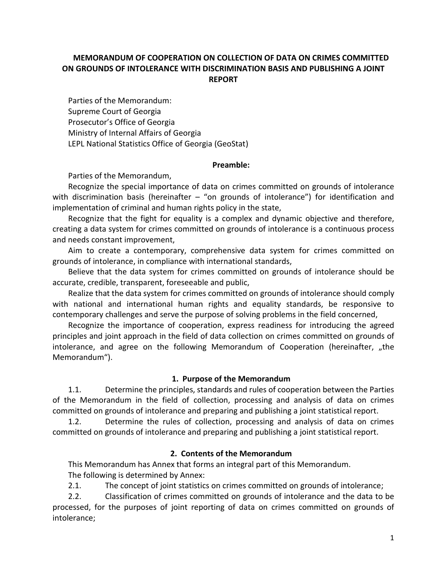# **MEMORANDUM OF COOPERATION ON COLLECTION OF DATA ON CRIMES COMMITTED ON GROUNDS OF INTOLERANCE WITH DISCRIMINATION BASIS AND PUBLISHING A JOINT REPORT**

Parties of the Memorandum: Supreme Court of Georgia Prosecutor's Office of Georgia Ministry of Internal Affairs of Georgia LEPL National Statistics Office of Georgia (GeoStat)

#### **Preamble:**

Parties of the Memorandum,

Recognize the special importance of data on crimes committed on grounds of intolerance with discrimination basis (hereinafter  $-$  "on grounds of intolerance") for identification and implementation of criminal and human rights policy in the state,

Recognize that the fight for equality is a complex and dynamic objective and therefore, creating a data system for crimes committed on grounds of intolerance is a continuous process and needs constant improvement,

Aim to create a contemporary, comprehensive data system for crimes committed on grounds of intolerance, in compliance with international standards,

Believe that the data system for crimes committed on grounds of intolerance should be accurate, credible, transparent, foreseeable and public,

Realize that the data system for crimes committed on grounds of intolerance should comply with national and international human rights and equality standards, be responsive to contemporary challenges and serve the purpose of solving problems in the field concerned,

Recognize the importance of cooperation, express readiness for introducing the agreed principles and joint approach in the field of data collection on crimes committed on grounds of intolerance, and agree on the following Memorandum of Cooperation (hereinafter, "the Memorandum").

#### **1. Purpose of the Memorandum**

1.1. Determine the principles, standards and rules of cooperation between the Parties of the Memorandum in the field of collection, processing and analysis of data on crimes committed on grounds of intolerance and preparing and publishing a joint statistical report.

1.2. Determine the rules of collection, processing and analysis of data on crimes committed on grounds of intolerance and preparing and publishing a joint statistical report.

## **2. Contents of the Memorandum**

This Memorandum has Annex that forms an integral part of this Memorandum. The following is determined by Annex:

2.1. The concept of joint statistics on crimes committed on grounds of intolerance;

2.2. Classification of crimes committed on grounds of intolerance and the data to be processed, for the purposes of joint reporting of data on crimes committed on grounds of intolerance;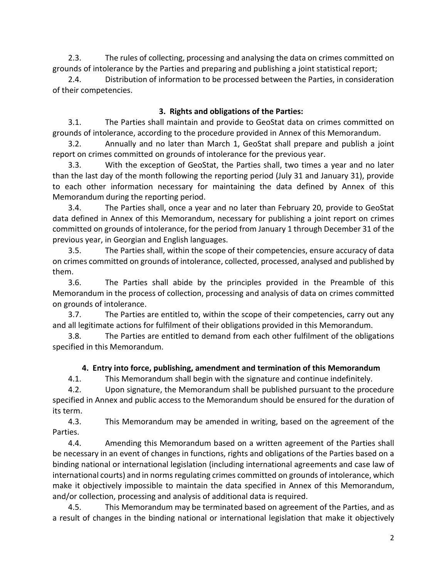2.3. The rules of collecting, processing and analysing the data on crimes committed on grounds of intolerance by the Parties and preparing and publishing a joint statistical report;

2.4. Distribution of information to be processed between the Parties, in consideration of their competencies.

## **3. Rights and obligations of the Parties:**

3.1. The Parties shall maintain and provide to GeoStat data on crimes committed on grounds of intolerance, according to the procedure provided in Annex of this Memorandum.

3.2. Annually and no later than March 1, GeoStat shall prepare and publish a joint report on crimes committed on grounds of intolerance for the previous year.

3.3. With the exception of GeoStat, the Parties shall, two times a year and no later than the last day of the month following the reporting period (July 31 and January 31), provide to each other information necessary for maintaining the data defined by Annex of this Memorandum during the reporting period.

3.4. The Parties shall, once a year and no later than February 20, provide to GeoStat data defined in Annex of this Memorandum, necessary for publishing a joint report on crimes committed on grounds of intolerance, for the period from January 1 through December 31 of the previous year, in Georgian and English languages.

3.5. The Parties shall, within the scope of their competencies, ensure accuracy of data on crimes committed on grounds of intolerance, collected, processed, analysed and published by them.

3.6. The Parties shall abide by the principles provided in the Preamble of this Memorandum in the process of collection, processing and analysis of data on crimes committed on grounds of intolerance.

3.7. The Parties are entitled to, within the scope of their competencies, carry out any and all legitimate actions for fulfilment of their obligations provided in this Memorandum.

3.8. The Parties are entitled to demand from each other fulfilment of the obligations specified in this Memorandum.

# **4. Entry into force, publishing, amendment and termination of this Memorandum**

4.1. This Memorandum shall begin with the signature and continue indefinitely.

4.2. Upon signature, the Memorandum shall be published pursuant to the procedure specified in Annex and public access to the Memorandum should be ensured for the duration of its term.

4.3. This Memorandum may be amended in writing, based on the agreement of the Parties.

4.4. Amending this Memorandum based on a written agreement of the Parties shall be necessary in an event of changes in functions, rights and obligations of the Parties based on a binding national or international legislation (including international agreements and case law of international courts) and in norms regulating crimes committed on grounds of intolerance, which make it objectively impossible to maintain the data specified in Annex of this Memorandum, and/or collection, processing and analysis of additional data is required.

4.5. This Memorandum may be terminated based on agreement of the Parties, and as a result of changes in the binding national or international legislation that make it objectively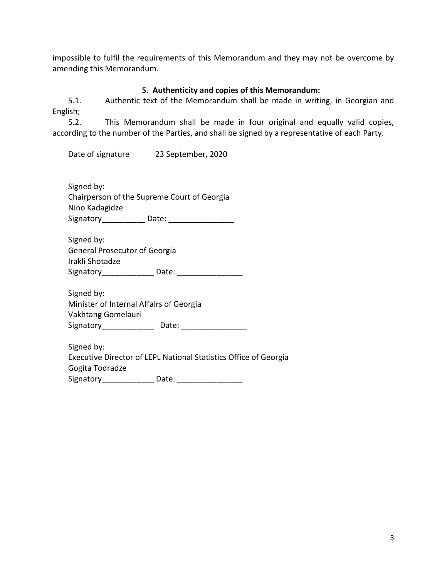impossible to fulfil the requirements of this Memorandum and they may not be overcome by amending this Memorandum.

# **5. Authenticity and copies of this Memorandum:**

5.1. Authentic text of the Memorandum shall be made in writing, in Georgian and English;

5.2. This Memorandum shall be made in four original and equally valid copies, according to the number of the Parties, and shall be signed by a representative of each Party.

Date of signature 23 September, 2020

Signed by: Chairperson of the Supreme Court of Georgia Nino Kadagidze Signatory\_\_\_\_\_\_\_\_\_\_ Date: \_\_\_\_\_\_\_\_\_\_\_\_\_\_\_

Signed by: General Prosecutor of Georgia Irakli Shotadze Signatory\_\_\_\_\_\_\_\_\_\_\_\_ Date: \_\_\_\_\_\_\_\_\_\_\_\_\_\_\_

Signed by: Minister of Internal Affairs of Georgia Vakhtang Gomelauri Signatory\_\_\_\_\_\_\_\_\_\_\_\_ Date: \_\_\_\_\_\_\_\_\_\_\_\_\_\_\_

Signed by: Executive Director of LEPL National Statistics Office of Georgia Gogita Todradze Signatory\_\_\_\_\_\_\_\_\_\_\_\_ Date: \_\_\_\_\_\_\_\_\_\_\_\_\_\_\_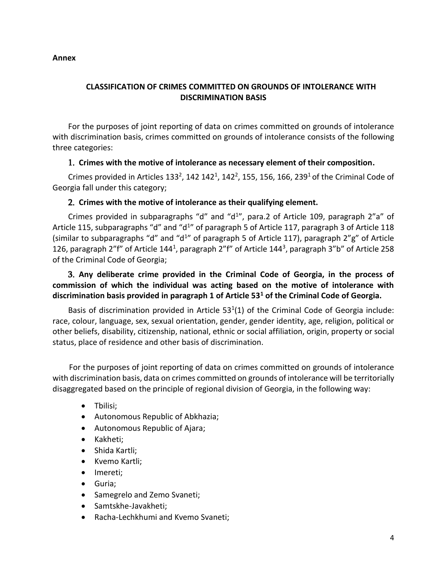#### **Annex**

## **CLASSIFICATION OF CRIMES COMMITTED ON GROUNDS OF INTOLERANCE WITH DISCRIMINATION BASIS**

For the purposes of joint reporting of data on crimes committed on grounds of intolerance with discrimination basis, crimes committed on grounds of intolerance consists of the following three categories:

### 1. **Crimes with the motive of intolerance as necessary element of their composition.**

Crimes provided in Articles 133<sup>2</sup>, 142 142<sup>1</sup>, 142<sup>2</sup>, 155, 156, 166, 239<sup>1</sup> of the Criminal Code of Georgia fall under this category;

#### 2. **Crimes with the motive of intolerance as their qualifying element.**

Crimes provided in subparagraphs "d" and "d<sup>1</sup>", para.2 of Article 109, paragraph 2"a" of Article 115, subparagraphs "d" and "d<sup>1</sup>" of paragraph 5 of Article 117, paragraph 3 of Article 118 (similar to subparagraphs "d" and "d<sup>1</sup>" of paragraph 5 of Article 117), paragraph 2"g" of Article 126, paragraph 2"f" of Article 144<sup>1</sup>, paragraph 2"f" of Article 144<sup>3</sup>, paragraph 3"b" of Article 258 of the Criminal Code of Georgia;

3. **Any deliberate crime provided in the Criminal Code of Georgia, in the process of commission of which the individual was acting based on the motive of intolerance with discrimination basis provided in paragraph 1 of Article 53<sup>1</sup> of the Criminal Code of Georgia.** 

Basis of discrimination provided in Article  $53<sup>1</sup>(1)$  of the Criminal Code of Georgia include: race, colour, language, sex, sexual orientation, gender, gender identity, age, religion, political or other beliefs, disability, citizenship, national, ethnic or social affiliation, origin, property or social status, place of residence and other basis of discrimination.

For the purposes of joint reporting of data on crimes committed on grounds of intolerance with discrimination basis, data on crimes committed on grounds of intolerance will be territorially disaggregated based on the principle of regional division of Georgia, in the following way:

- Tbilisi;
- Autonomous Republic of Abkhazia;
- Autonomous Republic of Ajara;
- Kakheti;
- Shida Kartli:
- Kvemo Kartli;
- Imereti;
- Guria;
- Samegrelo and Zemo Svaneti;
- Samtskhe-Javakheti;
- Racha-Lechkhumi and Kvemo Svaneti;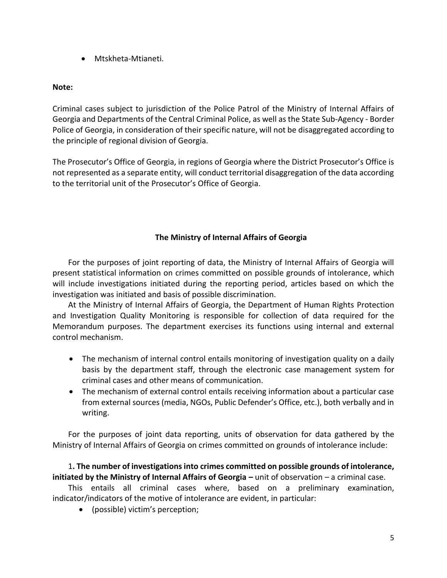Mtskheta-Mtianeti.

### **Note:**

Criminal cases subject to jurisdiction of the Police Patrol of the Ministry of Internal Affairs of Georgia and Departments of the Central Criminal Police, as well as the State Sub-Agency - Border Police of Georgia, in consideration of their specific nature, will not be disaggregated according to the principle of regional division of Georgia.

The Prosecutor's Office of Georgia, in regions of Georgia where the District Prosecutor's Office is not represented as a separate entity, will conduct territorial disaggregation of the data according to the territorial unit of the Prosecutor's Office of Georgia.

## **The Ministry of Internal Affairs of Georgia**

For the purposes of joint reporting of data, the Ministry of Internal Affairs of Georgia will present statistical information on crimes committed on possible grounds of intolerance, which will include investigations initiated during the reporting period, articles based on which the investigation was initiated and basis of possible discrimination.

At the Ministry of Internal Affairs of Georgia, the Department of Human Rights Protection and Investigation Quality Monitoring is responsible for collection of data required for the Memorandum purposes. The department exercises its functions using internal and external control mechanism.

- The mechanism of internal control entails monitoring of investigation quality on a daily basis by the department staff, through the electronic case management system for criminal cases and other means of communication.
- The mechanism of external control entails receiving information about a particular case from external sources (media, NGOs, Public Defender's Office, etc.), both verbally and in writing.

For the purposes of joint data reporting, units of observation for data gathered by the Ministry of Internal Affairs of Georgia on crimes committed on grounds of intolerance include:

## 1**. The number of investigations into crimes committed on possible grounds of intolerance, initiated by the Ministry of Internal Affairs of Georgia – unit of observation – a criminal case.**

This entails all criminal cases where, based on a preliminary examination, indicator/indicators of the motive of intolerance are evident, in particular:

(possible) victim's perception;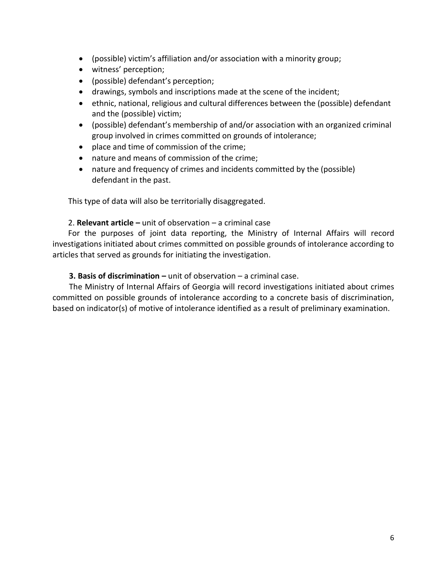- (possible) victim's affiliation and/or association with a minority group;
- witness' perception;
- (possible) defendant's perception;
- drawings, symbols and inscriptions made at the scene of the incident;
- ethnic, national, religious and cultural differences between the (possible) defendant and the (possible) victim;
- (possible) defendant's membership of and/or association with an organized criminal group involved in crimes committed on grounds of intolerance;
- place and time of commission of the crime;
- nature and means of commission of the crime;
- nature and frequency of crimes and incidents committed by the (possible) defendant in the past.

This type of data will also be territorially disaggregated.

### 2. **Relevant article –** unit of observation – a criminal case

For the purposes of joint data reporting, the Ministry of Internal Affairs will record investigations initiated about crimes committed on possible grounds of intolerance according to articles that served as grounds for initiating the investigation.

### **3. Basis of discrimination –** unit of observation – a criminal case.

The Ministry of Internal Affairs of Georgia will record investigations initiated about crimes committed on possible grounds of intolerance according to a concrete basis of discrimination, based on indicator(s) of motive of intolerance identified as a result of preliminary examination.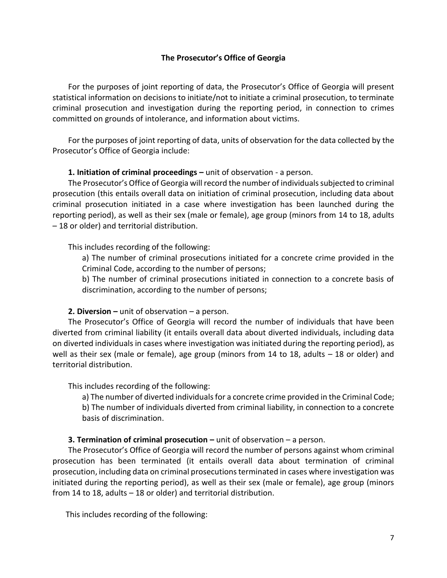#### **The Prosecutor's Office of Georgia**

For the purposes of joint reporting of data, the Prosecutor's Office of Georgia will present statistical information on decisions to initiate/not to initiate a criminal prosecution, to terminate criminal prosecution and investigation during the reporting period, in connection to crimes committed on grounds of intolerance, and information about victims.

For the purposes of joint reporting of data, units of observation for the data collected by the Prosecutor's Office of Georgia include:

#### **1. Initiation of criminal proceedings –** unit of observation - a person.

The Prosecutor's Office of Georgia will record the number of individuals subjected to criminal prosecution (this entails overall data on initiation of criminal prosecution, including data about criminal prosecution initiated in a case where investigation has been launched during the reporting period), as well as their sex (male or female), age group (minors from 14 to 18, adults – 18 or older) and territorial distribution.

This includes recording of the following:

a) The number of criminal prosecutions initiated for a concrete crime provided in the Criminal Code, according to the number of persons;

b) The number of criminal prosecutions initiated in connection to a concrete basis of discrimination, according to the number of persons;

#### **2. Diversion –** unit of observation – a person.

The Prosecutor's Office of Georgia will record the number of individuals that have been diverted from criminal liability (it entails overall data about diverted individuals, including data on diverted individuals in cases where investigation was initiated during the reporting period), as well as their sex (male or female), age group (minors from 14 to 18, adults – 18 or older) and territorial distribution.

This includes recording of the following:

a) The number of diverted individuals for a concrete crime provided in the Criminal Code; b) The number of individuals diverted from criminal liability, in connection to a concrete basis of discrimination.

## **3. Termination of criminal prosecution –** unit of observation – a person.

The Prosecutor's Office of Georgia will record the number of persons against whom criminal prosecution has been terminated (it entails overall data about termination of criminal prosecution, including data on criminal prosecutions terminated in cases where investigation was initiated during the reporting period), as well as their sex (male or female), age group (minors from 14 to 18, adults – 18 or older) and territorial distribution.

This includes recording of the following: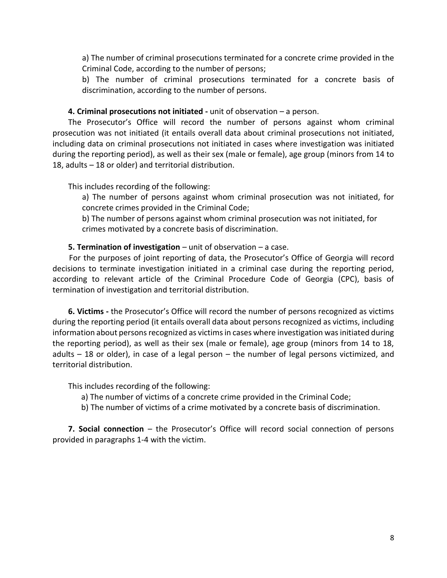a) The number of criminal prosecutions terminated for a concrete crime provided in the Criminal Code, according to the number of persons;

b) The number of criminal prosecutions terminated for a concrete basis of discrimination, according to the number of persons.

#### **4. Criminal prosecutions not initiated -** unit of observation – a person.

The Prosecutor's Office will record the number of persons against whom criminal prosecution was not initiated (it entails overall data about criminal prosecutions not initiated, including data on criminal prosecutions not initiated in cases where investigation was initiated during the reporting period), as well as their sex (male or female), age group (minors from 14 to 18, adults – 18 or older) and territorial distribution.

This includes recording of the following:

a) The number of persons against whom criminal prosecution was not initiated, for concrete crimes provided in the Criminal Code;

b) The number of persons against whom criminal prosecution was not initiated, for crimes motivated by a concrete basis of discrimination.

#### **5. Termination of investigation** – unit of observation – a case.

For the purposes of joint reporting of data, the Prosecutor's Office of Georgia will record decisions to terminate investigation initiated in a criminal case during the reporting period, according to relevant article of the Criminal Procedure Code of Georgia (CPC), basis of termination of investigation and territorial distribution.

**6. Victims -** the Prosecutor's Office will record the number of persons recognized as victims during the reporting period (it entails overall data about persons recognized as victims, including information about persons recognized as victims in cases where investigation was initiated during the reporting period), as well as their sex (male or female), age group (minors from 14 to 18, adults – 18 or older), in case of a legal person – the number of legal persons victimized, and territorial distribution.

This includes recording of the following:

- a) The number of victims of a concrete crime provided in the Criminal Code;
- b) The number of victims of a crime motivated by a concrete basis of discrimination.

**7. Social connection** – the Prosecutor's Office will record social connection of persons provided in paragraphs 1-4 with the victim.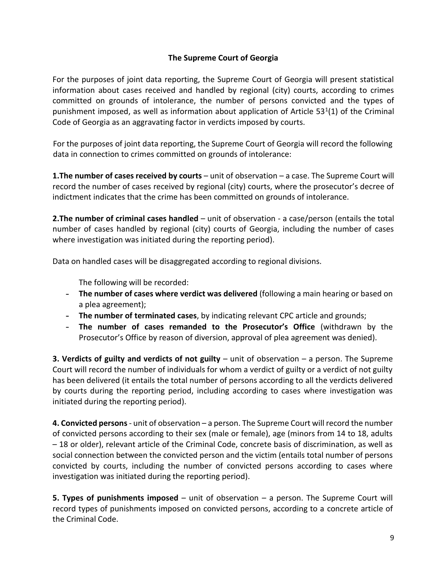## **The Supreme Court of Georgia**

For the purposes of joint data reporting, the Supreme Court of Georgia will present statistical information about cases received and handled by regional (city) courts, according to crimes committed on grounds of intolerance, the number of persons convicted and the types of punishment imposed, as well as information about application of Article  $53<sup>1</sup>(1)$  of the Criminal Code of Georgia as an aggravating factor in verdicts imposed by courts.

For the purposes of joint data reporting, the Supreme Court of Georgia will record the following data in connection to crimes committed on grounds of intolerance:

**1.The number of cases received by courts** – unit of observation – a case. The Supreme Court will record the number of cases received by regional (city) courts, where the prosecutor's decree of indictment indicates that the crime has been committed on grounds of intolerance.

**2.The number of criminal cases handled** – unit of observation - a case/person (entails the total number of cases handled by regional (city) courts of Georgia, including the number of cases where investigation was initiated during the reporting period).

Data on handled cases will be disaggregated according to regional divisions.

The following will be recorded:

- **The number of cases where verdict was delivered** (following a main hearing or based on a plea agreement);
- **The number of terminated cases**, by indicating relevant CPC article and grounds;
- **The number of cases remanded to the Prosecutor's Office** (withdrawn by the Prosecutor's Office by reason of diversion, approval of plea agreement was denied).

**3. Verdicts of guilty and verdicts of not guilty** – unit of observation – a person. The Supreme Court will record the number of individuals for whom a verdict of guilty or a verdict of not guilty has been delivered (it entails the total number of persons according to all the verdicts delivered by courts during the reporting period, including according to cases where investigation was initiated during the reporting period).

**4. Convicted persons**- unit of observation – a person. The Supreme Court will record the number of convicted persons according to their sex (male or female), age (minors from 14 to 18, adults – 18 or older), relevant article of the Criminal Code, concrete basis of discrimination, as well as social connection between the convicted person and the victim (entails total number of persons convicted by courts, including the number of convicted persons according to cases where investigation was initiated during the reporting period).

**5. Types of punishments imposed** – unit of observation – a person. The Supreme Court will record types of punishments imposed on convicted persons, according to a concrete article of the Criminal Code.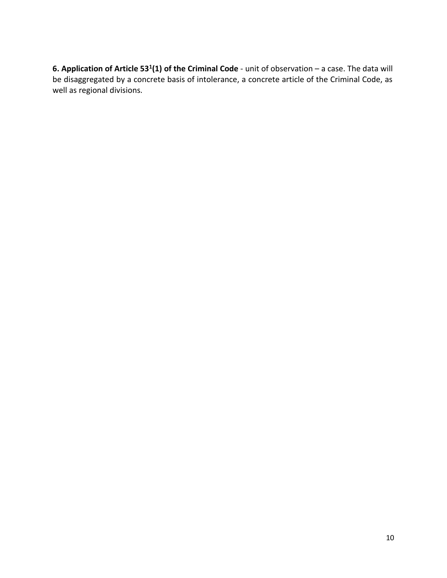**6. Application of Article 53<sup>1</sup> (1) of the Criminal Code** - unit of observation – a case. The data will be disaggregated by a concrete basis of intolerance, a concrete article of the Criminal Code, as well as regional divisions.